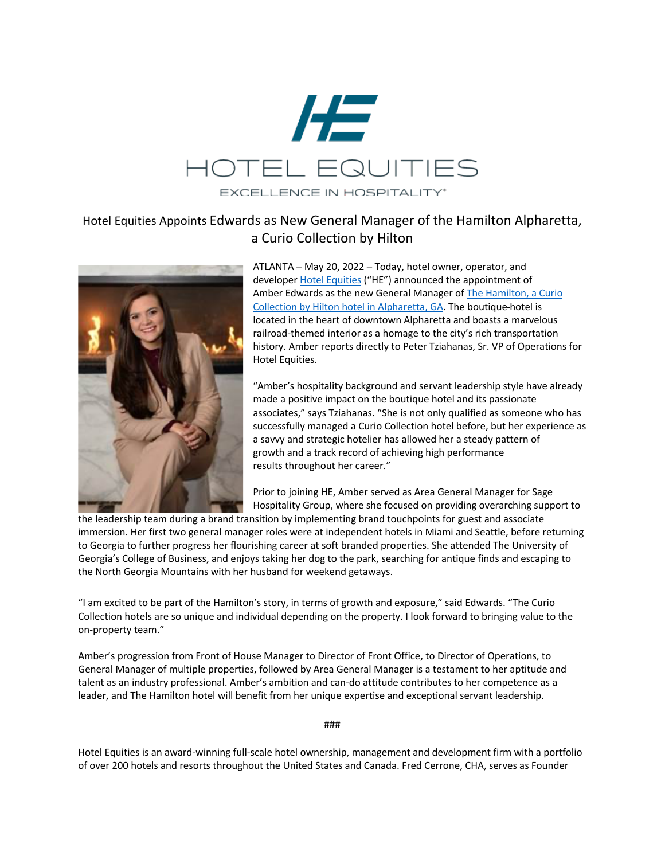

## Hotel Equities Appoints Edwards as New General Manager of the Hamilton Alpharetta, a Curio Collection by Hilton



ATLANTA – May 20, 2022 – Today, hotel owner, operator, and developer Hotel Equities ("HE") announced the appointment of Amber Edwards as the new General Manager of The Hamilton, a Curio Collection by Hilton hotel in Alpharetta, GA. The boutique hotel is located in the heart of downtown Alpharetta and boasts a marvelous railroad-themed interior as a homage to the city's rich transportation history. Amber reports directly to Peter Tziahanas, Sr. VP of Operations for Hotel Equities.

"Amber's hospitality background and servant leadership style have already made a positive impact on the boutique hotel and its passionate associates," says Tziahanas. "She is not only qualified as someone who has successfully managed a Curio Collection hotel before, but her experience as a savvy and strategic hotelier has allowed her a steady pattern of growth and a track record of achieving high performance results throughout her career."

Prior to joining HE, Amber served as Area General Manager for Sage Hospitality Group, where she focused on providing overarching support to

the leadership team during a brand transition by implementing brand touchpoints for guest and associate immersion. Her first two general manager roles were at independent hotels in Miami and Seattle, before returning to Georgia to further progress her flourishing career at soft branded properties. She attended The University of Georgia's College of Business, and enjoys taking her dog to the park, searching for antique finds and escaping to the North Georgia Mountains with her husband for weekend getaways.

"I am excited to be part of the Hamilton's story, in terms of growth and exposure," said Edwards. "The Curio Collection hotels are so unique and individual depending on the property. I look forward to bringing value to the on-property team."

Amber's progression from Front of House Manager to Director of Front Office, to Director of Operations, to General Manager of multiple properties, followed by Area General Manager is a testament to her aptitude and talent as an industry professional. Amber's ambition and can-do attitude contributes to her competence as a leader, and The Hamilton hotel will benefit from her unique expertise and exceptional servant leadership.

###

Hotel Equities is an award-winning full-scale hotel ownership, management and development firm with a portfolio of over 200 hotels and resorts throughout the United States and Canada. Fred Cerrone, CHA, serves as Founder